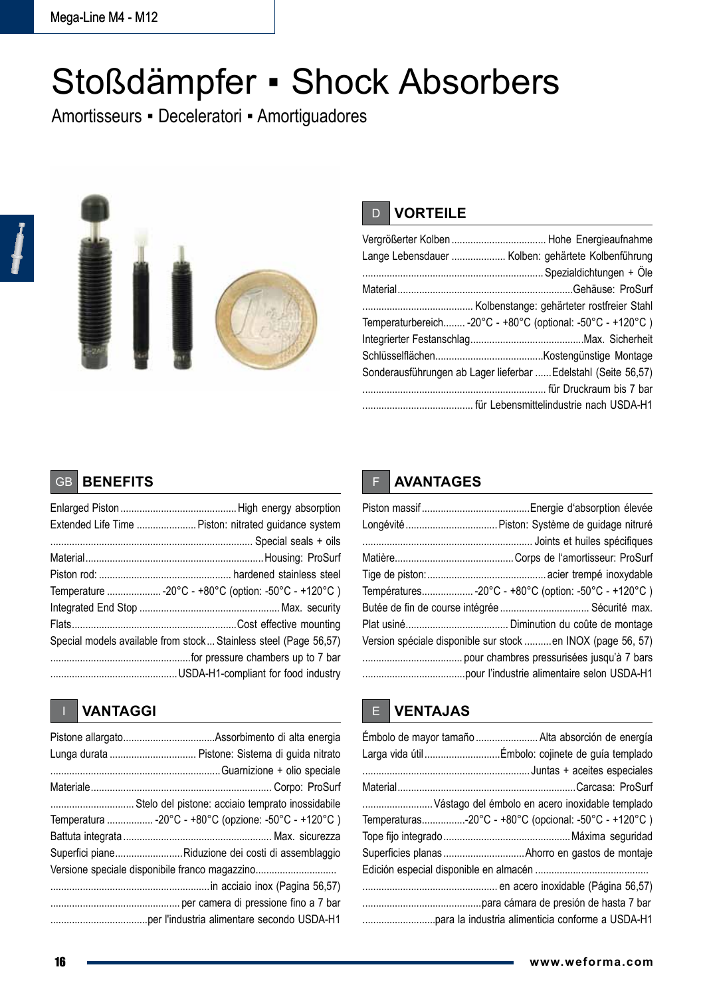# Stoßdämpfer ▪ Shock Absorbers

Amortisseurs ▪ Deceleratori ▪ Amortiguadores



### D **VORTEILE**

| Lange Lebensdauer  Kolben: gehärtete Kolbenführung             |
|----------------------------------------------------------------|
|                                                                |
|                                                                |
|                                                                |
| Temperaturbereich -20°C - +80°C (optional: -50°C - +120°C)     |
|                                                                |
|                                                                |
| Sonderausführungen ab Lager lieferbar  Edelstahl (Seite 56,57) |
|                                                                |
|                                                                |

## GB **BENEFITS**

| Extended Life Time  Piston: nitrated guidance system             |
|------------------------------------------------------------------|
|                                                                  |
|                                                                  |
|                                                                  |
| Temperature  -20°C - +80°C (option: -50°C - +120°C)              |
|                                                                  |
|                                                                  |
| Special models available from stock Stainless steel (Page 56,57) |
|                                                                  |
|                                                                  |

| Temperatura  -20°C - +80°C (opzione: -50°C - +120°C) |
|------------------------------------------------------|
|                                                      |
| Superfici pianeRiduzione dei costi di assemblaggio   |
| Versione speciale disponibile franco magazzino       |
|                                                      |
|                                                      |
|                                                      |

# F **AVANTAGES**

| Longévité  Piston: Système de guidage nitruré               |
|-------------------------------------------------------------|
|                                                             |
|                                                             |
|                                                             |
| Températures-20°C - +80°C (option: -50°C - +120°C )         |
|                                                             |
|                                                             |
| Version spéciale disponible sur stock en INOX (page 56, 57) |
|                                                             |
|                                                             |

# **IN EXAMPLE 2018 IN EXAMPLE 2018 IN EXAMPLE 2018 IN EXAMPLE 2018 IN EXAMPLE 3 VENTAJAS**

| Émbolo de mayor tamaño  Alta absorción de energía     |
|-------------------------------------------------------|
|                                                       |
|                                                       |
|                                                       |
| Vástago del émbolo en acero inoxidable templado       |
| Temperaturas-20°C - +80°C (opcional: -50°C - +120°C ) |
|                                                       |
|                                                       |
|                                                       |
|                                                       |
|                                                       |
|                                                       |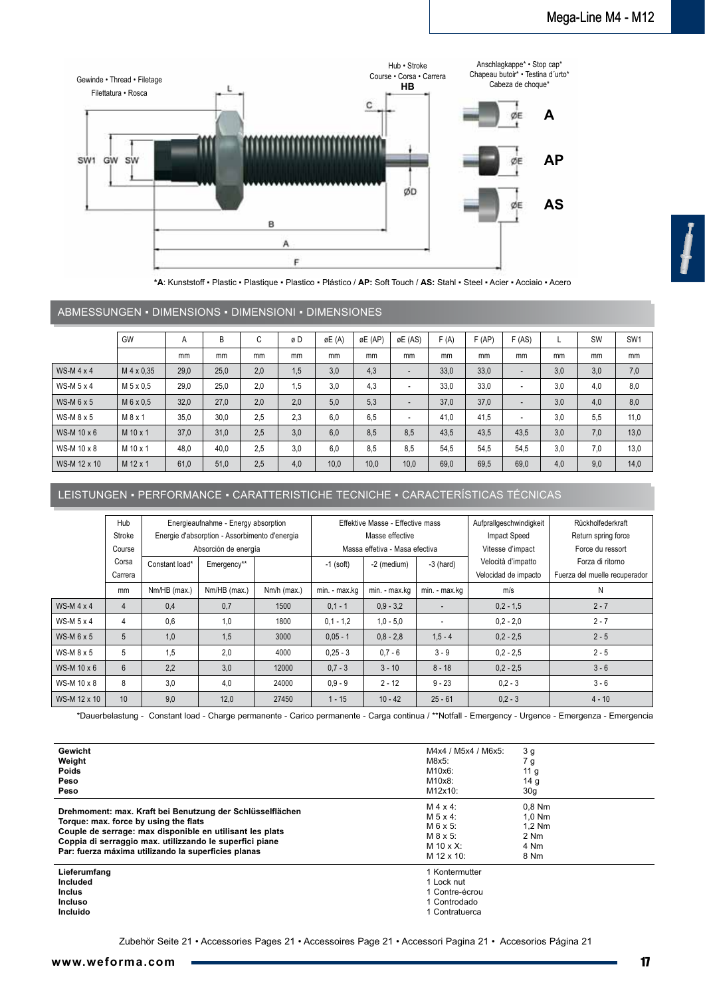

**\*A**: Kunststoff ▪ Plastic ▪ Plastique ▪ Plastico ▪ Plástico / **AP:** Soft Touch / **AS:** Stahl ▪ Steel ▪ Acier ▪ Acciaio ▪ Acero

#### ABMESSUNGEN ▪ DIMENSIONS ▪ DIMENSIONI ▪ DIMENSIONES

|                   | GW                | A    | B    | $\sim$<br>U | øD  | øE (A) | øE (AP) | øE (AS)                  | F(A) | F(AP) | F(AS) |     | <b>SW</b> | SW <sub>1</sub> |
|-------------------|-------------------|------|------|-------------|-----|--------|---------|--------------------------|------|-------|-------|-----|-----------|-----------------|
|                   |                   | mm   | mm   | mm          | mm  | mm     | mm      | mm                       | mm   | mm    | mm    | mm  | mm        | mm              |
| WS-M $4 \times 4$ | M 4 x 0.35        | 29,0 | 25,0 | 2,0         | 1,5 | 3,0    | 4,3     | $\overline{\phantom{a}}$ | 33,0 | 33,0  | ٠     | 3,0 | 3,0       | 7,0             |
| WS-M 5 x 4        | M 5 x 0.5         | 29,0 | 25,0 | 2,0         | 1,5 | 3,0    | 4,3     | ٠                        | 33,0 | 33,0  | ۰     | 3,0 | 4,0       | 8,0             |
| $WS-M 6 x 5$      | M 6 x 0.5         | 32,0 | 27.0 | 2.0         | 2,0 | 5,0    | 5,3     | $\overline{\phantom{a}}$ | 37.0 | 37,0  | ٠     | 3.0 | 4,0       | 8,0             |
| WS-M $8x5$        | M 8 x 1           | 35,0 | 30,0 | 2,5         | 2,3 | 6,0    | 6,5     | ٠                        | 41.0 | 41,5  | ٠     | 3.0 | 5,5       | 11.0            |
| WS-M 10 x 6       | $M$ 10 $\times$ 1 | 37,0 | 31.0 | 2.5         | 3,0 | 6,0    | 8,5     | 8,5                      | 43.5 | 43,5  | 43.5  | 3.0 | 7,0       | 13,0            |
| WS-M 10 x 8       | $M$ 10 $\times$ 1 | 48,0 | 40.0 | 2,5         | 3,0 | 6,0    | 8,5     | 8,5                      | 54.5 | 54,5  | 54.5  | 3.0 | 7,0       | 13,0            |
| WS-M 12 x 10      | M 12 x 1          | 61,0 | 51,0 | 2,5         | 4,0 | 10,0   | 10,0    | 10,0                     | 69,0 | 69,5  | 69,0  | 4,0 | 9,0       | 14,0            |

#### LEISTUNGEN ▪ PERFORMANCE ▪ CARATTERISTICHE TECNICHE ▪ CARACTERÍSTICAS TÉCNICAS

|                   | Hub            | Energieaufnahme - Energy absorption |                                               |             | Effektive Masse - Effective mass |               |                          | Aufprallgeschwindigkeit | Rückholfederkraft             |
|-------------------|----------------|-------------------------------------|-----------------------------------------------|-------------|----------------------------------|---------------|--------------------------|-------------------------|-------------------------------|
|                   | Stroke         |                                     | Energie d'absorption - Assorbimento d'energia |             | Masse effective                  |               |                          | <b>Impact Speed</b>     | Return spring force           |
|                   | Course         | Absorción de energía                |                                               |             | Massa effetiva - Masa efectiva   |               |                          | Vitesse d'impact        | Force du ressort              |
|                   | Corsa          | Constant load*                      | Emergency**                                   |             | $-1$ (soft)                      | -2 (medium)   | $-3$ (hard)              | Velocità d'impatto      | Forza di ritorno              |
|                   | Carrera        |                                     |                                               |             |                                  |               |                          | Velocidad de impacto    | Fuerza del muelle recuperador |
|                   | mm             | Nm/HB (max.)                        | Nm/HB (max.)                                  | Nm/h (max.) | min. - max.kg                    | min. - max.kg | min. - max.kg            | m/s                     | N                             |
| WS-M $4 \times 4$ | $\overline{4}$ | 0.4                                 | 0.7                                           | 1500        | $0,1 - 1$                        | $0.9 - 3.2$   | $\overline{\phantom{a}}$ | $0.2 - 1.5$             | $2 - 7$                       |
| WS-M $5 \times 4$ | 4              | 0.6                                 | 1.0                                           | 1800        | $0.1 - 1.2$                      | $1.0 - 5.0$   | $\overline{\phantom{a}}$ | $0.2 - 2.0$             | $2 - 7$                       |
| WS-M $6x5$        | 5              | 1.0                                 | 1.5                                           | 3000        | $0.05 - 1$                       | $0.8 - 2.8$   | $1.5 - 4$                | $0.2 - 2.5$             | $2 - 5$                       |
| WS-M $8 \times 5$ | 5              | 1.5                                 | 2.0                                           | 4000        | $0.25 - 3$                       | $0.7 - 6$     | $3 - 9$                  | $0.2 - 2.5$             | $2 - 5$                       |
| WS-M 10 x 6       | 6              | 2.2                                 | 3.0                                           | 12000       | $0.7 - 3$                        | $3 - 10$      | $8 - 18$                 | $0.2 - 2.5$             | $3 - 6$                       |
| WS-M 10 x 8       | 8              | 3.0                                 | 4,0                                           | 24000       | $0.9 - 9$                        | $2 - 12$      | $9 - 23$                 | $0.2 - 3$               | $3 - 6$                       |
| WS-M 12 x 10      | 10             | 9.0                                 | 12,0                                          | 27450       | $1 - 15$                         | $10 - 42$     | $25 - 61$                | $0.2 - 3$               | $4 - 10$                      |

\*Dauerbelastung - Constant load - Charge permanente - Carico permanente - Carga continua / \*\*Notfall - Emergency - Urgence - Emergenza - Emergencia

| Gewicht<br>Weight<br><b>Poids</b><br>Peso<br>Peso                                                                                                                                                                                                                                | M4x4 / M5x4 / M6x5:<br>$M8x5$ :<br>M10x6:<br>M10x8:<br>M12x10:                           | 3 g<br>7 g<br>11 $g$<br>14 <sub>g</sub><br>30 <sub>g</sub> |
|----------------------------------------------------------------------------------------------------------------------------------------------------------------------------------------------------------------------------------------------------------------------------------|------------------------------------------------------------------------------------------|------------------------------------------------------------|
| Drehmoment: max. Kraft bei Benutzung der Schlüsselflächen<br>Torque: max. force by using the flats<br>Couple de serrage: max disponible en utilisant les plats<br>Coppia di serraggio max. utilizzando le superfici piane<br>Par: fuerza máxima utilizando la superficies planas | $M 4 x 4$ :<br>$M$ 5 x 4:<br>$M 6 x 5$ :<br>$M$ 8 x 5:<br>M 10 $\times$ X:<br>M 12 x 10: | $0.8$ Nm<br>$1.0$ Nm<br>$1.2$ Nm<br>2 Nm<br>4 Nm<br>8 Nm   |
| Lieferumfang<br>Included<br><b>Inclus</b><br><b>Incluso</b><br>Incluido                                                                                                                                                                                                          | Kontermutter<br>1 Lock nut<br>1 Contre-écrou<br>1 Controdado<br>Contratuerca             |                                                            |

Zubehör Seite 21 • Accessories Pages 21 • Accessoires Page 21 • Accessori Pagina 21 • Accesorios Página 21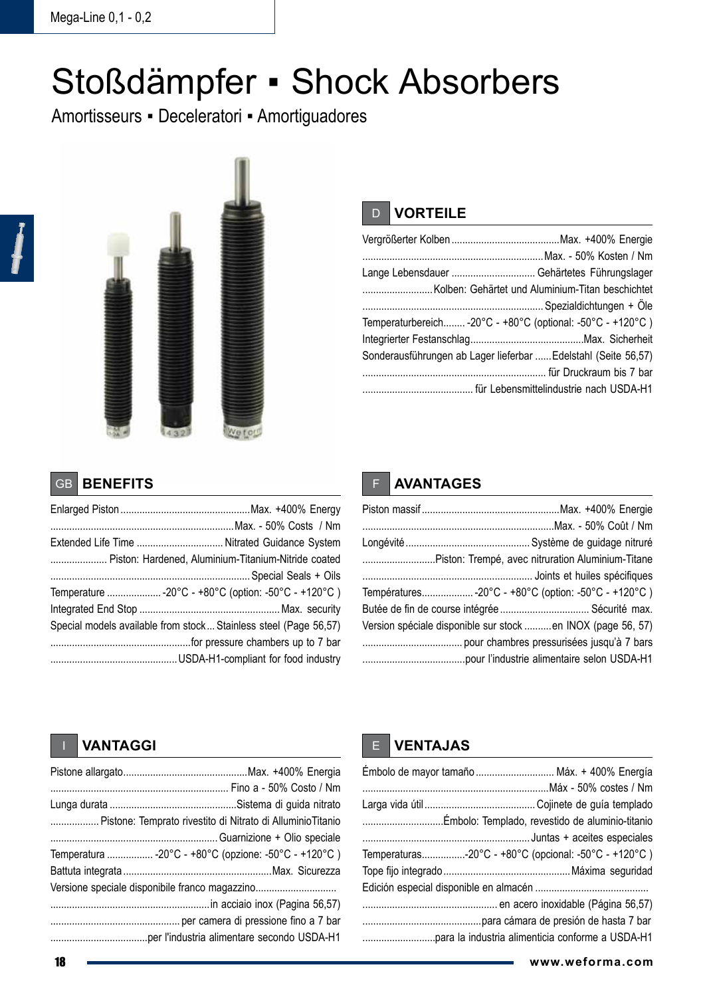# Stoßdämpfer ▪ Shock Absorbers

Amortisseurs ▪ Deceleratori ▪ Amortiguadores



### D **VORTEILE**

| Lange Lebensdauer  Gehärtetes Führungslager                    |  |
|----------------------------------------------------------------|--|
|                                                                |  |
|                                                                |  |
| Temperaturbereich -20°C - +80°C (optional: -50°C - +120°C)     |  |
|                                                                |  |
| Sonderausführungen ab Lager lieferbar  Edelstahl (Seite 56,57) |  |
|                                                                |  |
|                                                                |  |

#### GB **BENEFITS**

| Piston: Hardened, Aluminium-Titanium-Nitride coated              |
|------------------------------------------------------------------|
|                                                                  |
| Temperature -20°C - +80°C (option: -50°C - +120°C )              |
|                                                                  |
| Special models available from stock Stainless steel (Page 56,57) |
|                                                                  |
|                                                                  |

### F **AVANTAGES**

| Piston: Trempé, avec nitruration Aluminium-Titane           |  |
|-------------------------------------------------------------|--|
|                                                             |  |
| Températures-20°C - +80°C (option: -50°C - +120°C)          |  |
| Butée de fin de course intégrée  Sécurité max.              |  |
| Version spéciale disponible sur stock en INOX (page 56, 57) |  |
|                                                             |  |
|                                                             |  |

#### I **VANTAGGI**

| Pistone: Temprato rivestito di Nitrato di Alluminio Titanio |
|-------------------------------------------------------------|
|                                                             |
| Temperatura  -20°C - +80°C (opzione: -50°C - +120°C)        |
|                                                             |
|                                                             |
|                                                             |
|                                                             |
|                                                             |

#### E **VENTAJAS**

| Émbolo de mayor tamaño  Máx. + 400% Energía          |  |
|------------------------------------------------------|--|
|                                                      |  |
|                                                      |  |
|                                                      |  |
|                                                      |  |
| Temperaturas-20°C - +80°C (opcional: -50°C - +120°C) |  |
|                                                      |  |
|                                                      |  |
|                                                      |  |
|                                                      |  |
|                                                      |  |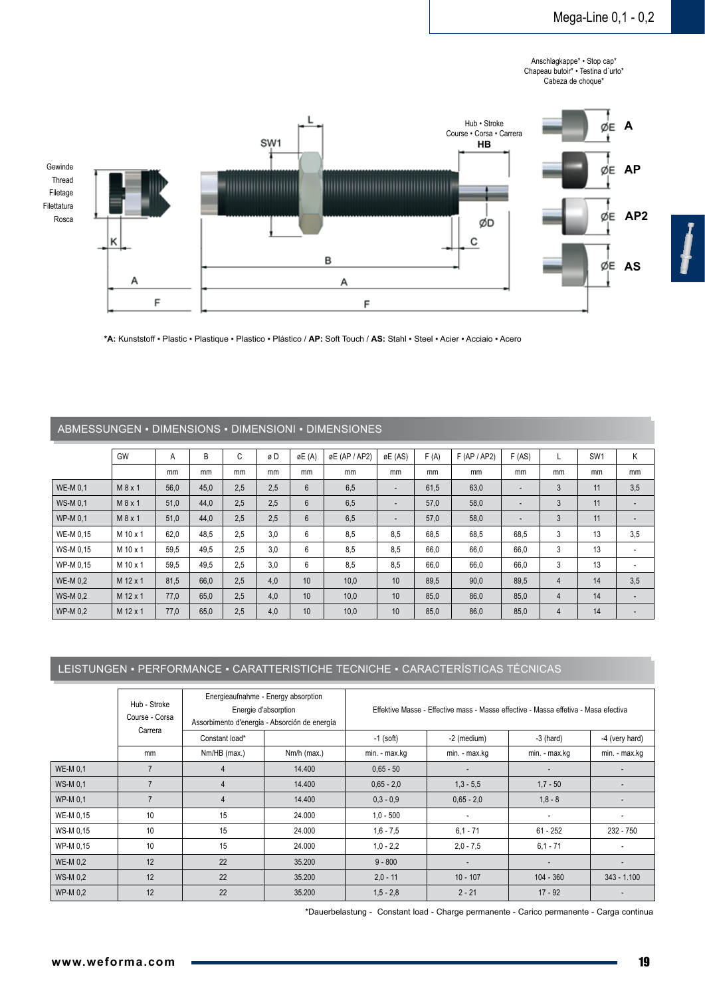Anschlagkappe\* • Stop cap\* Chapeau butoir\* • Testina d´urto\* Cabeza de choque\*



**\*A:** Kunststoff ▪ Plastic ▪ Plastique ▪ Plastico ▪ Plástico / **AP:** Soft Touch / **AS:** Stahl ▪ Steel ▪ Acier ▪ Acciaio ▪ Acero

ABMESSUNGEN ▪ DIMENSIONS ▪ DIMENSIONI ▪ DIMENSIONES

| ADIVIESSUNGEN • DIIVIENSIUNS • DIIVIENSIUNI • DIIVIENSIUNES |            |      |      |     |     |        |               |                          |      |              |                          |    |                 |                          |
|-------------------------------------------------------------|------------|------|------|-----|-----|--------|---------------|--------------------------|------|--------------|--------------------------|----|-----------------|--------------------------|
|                                                             | GW         | A    | B    | C   | øD  | øE (A) | øE (AP / AP2) | øE (AS)                  | F(A) | F (AP / AP2) | F(AS)                    |    | SW <sub>1</sub> | K                        |
|                                                             |            | mm   | mm   | mm  | mm  | mm     | mm            | mm                       | mm   | mm           | mm                       | mm | mm              | mm                       |
| <b>WE-M 0.1</b>                                             | M 8 x 1    | 56,0 | 45,0 | 2,5 | 2.5 | 6      | 6,5           | $\overline{\phantom{a}}$ | 61,5 | 63,0         |                          | 3  | 11              | 3,5                      |
| <b>WS-M 0.1</b>                                             | M 8 x 1    | 51,0 | 44.0 | 2.5 | 2.5 | 6      | 6,5           | $\overline{\phantom{a}}$ | 57,0 | 58,0         |                          | 3  | 11              |                          |
| WP-M 0.1                                                    | M 8 x 1    | 51,0 | 44.0 | 2.5 | 2.5 | 6      | 6,5           | $\overline{\phantom{a}}$ | 57,0 | 58,0         | $\overline{\phantom{a}}$ | 3  | 11              | $\overline{\phantom{a}}$ |
| WE-M 0.15                                                   | M 10 x 1   | 62,0 | 48.5 | 2.5 | 3.0 | 6      | 8,5           | 8.5                      | 68.5 | 68.5         | 68.5                     | 3  | 13              | 3.5                      |
| WS-M 0.15                                                   | M 10 x 1   | 59,5 | 49.5 | 2.5 | 3.0 | 6      | 8,5           | 8.5                      | 66,0 | 66,0         | 66,0                     | 3  | 13              | ٠                        |
| WP-M 0.15                                                   | M 10 x 1   | 59,5 | 49.5 | 2.5 | 3.0 | 6      | 8,5           | 8,5                      | 66,0 | 66,0         | 66,0                     | 3  | 13              | ٠                        |
| <b>WE-M 0.2</b>                                             | M 12 x 1   | 81,5 | 66,0 | 2,5 | 4.0 | 10     | 10,0          | 10 <sup>10</sup>         | 89,5 | 90,0         | 89,5                     | 4  | 14              | 3,5                      |
| <b>WS-M0.2</b>                                              | $M$ 12 x 1 | 77,0 | 65,0 | 2.5 | 4.0 | 10     | 10,0          | 10 <sup>10</sup>         | 85,0 | 86,0         | 85,0                     | 4  | 14              | $\overline{\phantom{a}}$ |
| WP-M 0.2                                                    | M 12 x 1   | 77,0 | 65,0 | 2,5 | 4,0 | 10     | 10,0          | 10 <sup>°</sup>          | 85,0 | 86,0         | 85,0                     | 4  | 14              |                          |

#### LEISTUNGEN ▪ PERFORMANCE ▪ CARATTERISTICHE TECNICHE ▪ CARACTERÍSTICAS TÉCNICAS

| Hub - Stroke<br>Course - Corsa<br>Carrera |    | Energieaufnahme - Energy absorption<br>Energie d'absorption<br>Assorbimento d'energia - Absorción de energía |               | Effektive Masse - Effective mass - Masse effective - Massa effetiva - Masa efectiva |               |               |                |  |
|-------------------------------------------|----|--------------------------------------------------------------------------------------------------------------|---------------|-------------------------------------------------------------------------------------|---------------|---------------|----------------|--|
|                                           |    | Constant load*                                                                                               |               | $-1$ (soft)                                                                         | -2 (medium)   | $-3$ (hard)   | -4 (very hard) |  |
|                                           | mm | Nm/HB (max.)                                                                                                 | $Nm/h$ (max.) | min. - max.kg                                                                       | min. - max.kg | min. - max.kg | min. - max.kg  |  |
| WE-M 0.1                                  |    | 4                                                                                                            | 14.400        | $0.65 - 50$                                                                         |               |               |                |  |
| <b>WS-M0.1</b>                            |    | 4                                                                                                            | 14.400        | $0.65 - 2.0$                                                                        | $1,3 - 5,5$   | $1,7 - 50$    |                |  |
| WP-M 0.1                                  |    | 4                                                                                                            | 14.400        | $0.3 - 0.9$                                                                         | $0.65 - 2.0$  | $1,8 - 8$     |                |  |
| WE-M 0,15                                 | 10 | 15                                                                                                           | 24.000        | $1,0 - 500$                                                                         |               | ۰.            |                |  |
| WS-M 0,15                                 | 10 | 15                                                                                                           | 24.000        | $1,6 - 7,5$                                                                         | $6.1 - 71$    | $61 - 252$    | 232 - 750      |  |
| WP-M 0,15                                 | 10 | 15                                                                                                           | 24.000        | $1.0 - 2.2$                                                                         | $2,0 - 7,5$   | $6.1 - 71$    |                |  |
| <b>WE-M 0.2</b>                           | 12 | 22                                                                                                           | 35.200        | $9 - 800$                                                                           |               |               |                |  |
| WS-M 0.2                                  | 12 | 22                                                                                                           | 35.200        | $2,0 - 11$                                                                          | $10 - 107$    | $104 - 360$   | $343 - 1.100$  |  |
| WP-M 0,2                                  | 12 | 22                                                                                                           | 35.200        | $1, 5 - 2, 8$                                                                       | $2 - 21$      | $17 - 92$     |                |  |

\*Dauerbelastung - Constant load - Charge permanente - Carico permanente - Carga continua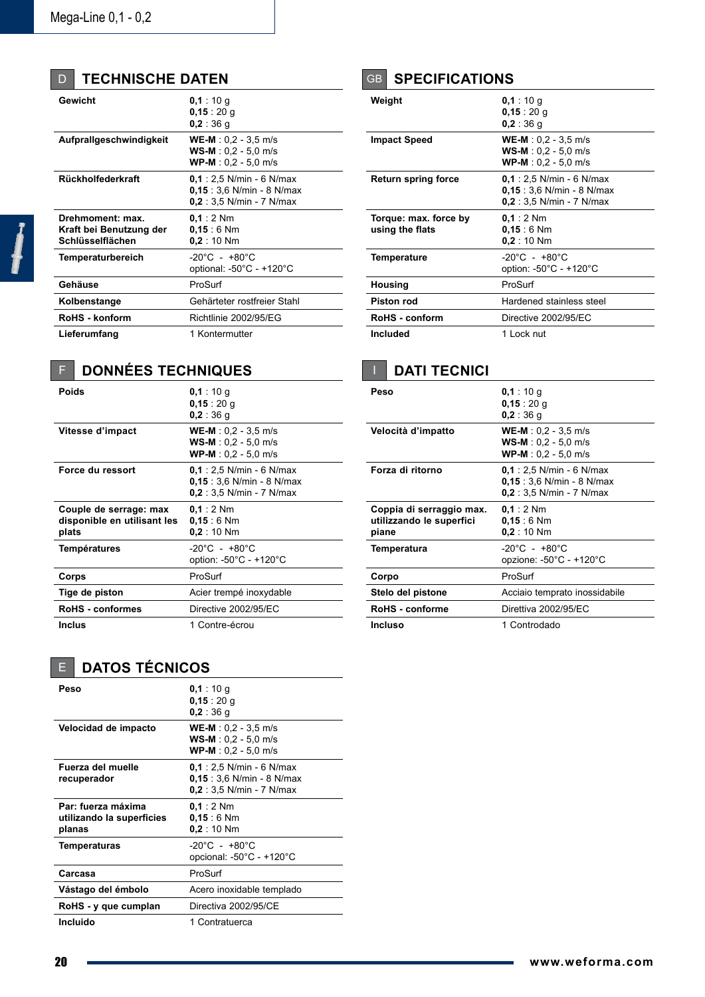| <b>D</b>   TECHNISCHE DATEN |
|-----------------------------|
|                             |

| Gewicht                                                         | 0,1:10 g<br>0,15:20 g<br>0.2 : 36 g                                                  |
|-----------------------------------------------------------------|--------------------------------------------------------------------------------------|
| Aufprallgeschwindigkeit                                         | $WE-M: 0.2 - 3.5 m/s$<br>$WS-M: 0.2 - 5.0 m/s$<br>$WP-M: 0.2 - 5.0 m/s$              |
| Rückholfederkraft                                               | $0.1:2.5$ N/min - 6 N/max<br>$0.15:3.6$ N/min - 8 N/max<br>$0.2:3.5$ N/min - 7 N/max |
| Drehmoment: max.<br>Kraft bei Benutzung der<br>Schlüsselflächen | $0.1:2$ Nm<br>$0.15:6$ Nm<br>0.2:10 Nm                                               |
| Temperaturbereich                                               | $-20^{\circ}$ C - +80 $^{\circ}$ C<br>optional: $-50^{\circ}$ C - $+120^{\circ}$ C   |
| Gehäuse                                                         | ProSurf                                                                              |
| Kolbenstange                                                    | Gehärteter rostfreier Stahl                                                          |
| RoHS - konform                                                  | Richtlinie 2002/95/EG                                                                |
| Lieferumfang                                                    | 1 Kontermutter                                                                       |

# F **Données Techniques**

| Poids                                                          | 0,1:10 g<br>0,15:20 g<br>$0,2:36$ g                                                  |
|----------------------------------------------------------------|--------------------------------------------------------------------------------------|
| Vitesse d'impact                                               | $WE-M: 0.2 - 3.5 m/s$<br>$WS-M: 0.2 - 5.0 m/s$<br>$WP-M: 0.2 - 5.0 m/s$              |
| Force du ressort                                               | $0.1:2.5$ N/min - 6 N/max<br>$0.15:3.6$ N/min - 8 N/max<br>$0.2:3.5$ N/min - 7 N/max |
| Couple de serrage: max<br>disponible en utilisant les<br>plats | $0.1:2$ Nm<br>$0.15:6$ Nm<br>0.2:10 Nm                                               |
| <b>Températures</b>                                            | $-20^{\circ}$ C - +80 $^{\circ}$ C<br>option: -50°C - +120°C                         |
| Corps                                                          | ProSurf                                                                              |
| Tige de piston                                                 | Acier trempé inoxydable                                                              |
| <b>RoHS</b> - conformes                                        | Directive 2002/95/EC                                                                 |
| <b>Inclus</b>                                                  | 1 Contre-écrou                                                                       |

# GB **specifications**

| Weight                                   | 0.1:10q<br>0,15:20 g<br>0.2 : 36 g                                                   |
|------------------------------------------|--------------------------------------------------------------------------------------|
| <b>Impact Speed</b>                      | $WE-M: 0.2 - 3.5 m/s$<br>$WS-M: 0.2 - 5.0 m/s$<br>$WP-M: 0,2 - 5,0$ m/s              |
| <b>Return spring force</b>               | $0.1:2.5$ N/min - 6 N/max<br>$0.15:3.6$ N/min - 8 N/max<br>$0.2:3.5$ N/min - 7 N/max |
| Torque: max. force by<br>using the flats | $0.1:2$ Nm<br>$0.15:6$ Nm<br>$0.2:10$ Nm                                             |
| Temperature                              | $-20^{\circ}$ C - +80 $^{\circ}$ C<br>option: -50°C - +120°C                         |
| Housing                                  | ProSurf                                                                              |
| <b>Piston rod</b>                        | Hardened stainless steel                                                             |
| RoHS - conform                           | Directive 2002/95/EC                                                                 |
| <b>Included</b>                          | 1 Lock nut                                                                           |

# **I** DATI TECNICI

| Peso                                                          | 0.1:10q<br>0,15:20 g<br>0.2:36q                                                        |
|---------------------------------------------------------------|----------------------------------------------------------------------------------------|
| Velocità d'impatto                                            | $WE-M: 0.2 - 3.5 m/s$<br>$WS-M: 0.2 - 5.0$ m/s<br>$WP-M: 0.2 - 5.0 m/s$                |
| Forza di ritorno                                              | $0.1 : 2.5$ N/min - 6 N/max<br>$0.15:3.6$ N/min - 8 N/max<br>$0.2:3.5$ N/min - 7 N/max |
| Coppia di serraggio max.<br>utilizzando le superfici<br>piane | $0.1:2$ Nm<br>$0.15:6$ Nm<br>0.2:10 Nm                                                 |
| <b>Temperatura</b>                                            | $-20^{\circ}$ C - +80 $^{\circ}$ C<br>opzione: $-50^{\circ}$ C - $+120^{\circ}$ C      |
| Corpo                                                         | ProSurf                                                                                |
| Stelo del pistone                                             | Acciaio temprato inossidabile                                                          |
| RoHS - conforme                                               | Direttiva 2002/95/EC                                                                   |
| <b>Incluso</b>                                                | 1 Controdado                                                                           |

# E **Datos técnicos**

| Peso                                                      | 0,1:10 g<br>0,15:20 g<br>0.2 : 36 g                                                  |
|-----------------------------------------------------------|--------------------------------------------------------------------------------------|
| Velocidad de impacto                                      | $WE-M: 0.2 - 3.5 m/s$<br>$WS-M: 0.2 - 5.0 m/s$<br>$WP-M: 0,2 - 5,0 m/s$              |
| Fuerza del muelle<br>recuperador                          | $0.1:2.5$ N/min - 6 N/max<br>$0.15:3.6$ N/min - 8 N/max<br>$0,2:3,5$ N/min - 7 N/max |
| Par: fuerza máxima<br>utilizando la superficies<br>planas | $0.1:2$ Nm<br>$0.15:6$ Nm<br>0.2:10 Nm                                               |
| Temperaturas                                              | $-20^{\circ}$ C - +80 $^{\circ}$ C<br>opcional: -50°C - +120°C                       |
| Carcasa                                                   | ProSurf                                                                              |
| Vástago del émbolo                                        | Acero inoxidable templado                                                            |
| RoHS - y que cumplan                                      | Directiva 2002/95/CE                                                                 |
| Incluido                                                  | 1 Contratuerca                                                                       |